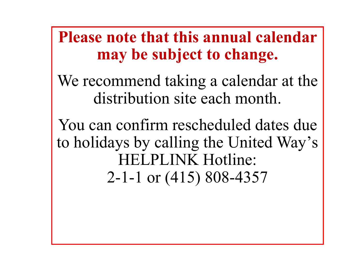**Please note that this annual calendar may be subject to change.** 

We recommend taking a calendar at the distribution site each month.

You can confirm rescheduled dates due to holidays by calling the United Way's **IELPLINK Hotline:** 2-1-1 or (415) 808-4357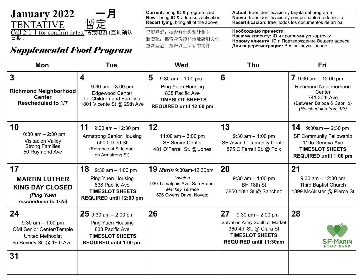| January 2022<br>— Е<br>暫定<br><b>TENTATIVE</b> | <b>Current:</b> bring ID & program card<br><b>New</b> : bring ID & address verification<br><b>Recertifying:</b> bring all of the above | Actual<br><b>Nuevo</b><br>Recert |
|-----------------------------------------------|----------------------------------------------------------------------------------------------------------------------------------------|----------------------------------|
| Call 2-1-1 for confirm dates. 请致电211查询确认      | 已經登記: 攜帶身份證和計劃卡                                                                                                                        | Необх<br>Нашег                   |
| <u>日期,</u>                                    | 新登記: 攜帶身份證和地址證明文件                                                                                                                      | HOROM                            |

**I:** traer identificación y tarjeta del programa **Nuevo:** traer identificación y comprobante de domicilio **Recertificación:** traer todos los documentos de arriba 重新登記:攜帶以上所有的文件 **Необходимо принести Нашему клиенту:** ID и программную карточку **Новому клиенту:** ID и Подтверждение Вашего адреса **Для перерегистрации:** Все вышеуказанное

| <b>Tue</b>                                                                                                                              | <b>Wed</b>                                                                                                                           | <b>Thu</b>                                                                                                                                         | <b>Fri</b>                                                                                                                                |
|-----------------------------------------------------------------------------------------------------------------------------------------|--------------------------------------------------------------------------------------------------------------------------------------|----------------------------------------------------------------------------------------------------------------------------------------------------|-------------------------------------------------------------------------------------------------------------------------------------------|
| 4<br>$9:30$ am $-3:00$ pm<br><b>Edgewood Center</b><br>for Children and Families<br>1801 Vicente St @ 29th Ave                          | 5<br>$9:30$ am $-1:00$ pm<br><b>Ping Yuen Housing</b><br>838 Pacific Ave<br><b>TIMESLOT SHEETS</b><br><b>REQUIRED until 12:00 pm</b> | 6                                                                                                                                                  | 7 9:30 am $-$ 12:00 pm<br><b>Richmond Neighborhood</b><br>Center<br>741 30th Ave<br>(Between Balboa & Cabrillo)<br>(Rescheduled from 1/3) |
| 11<br>$9:00$ am $-12:30$ pm<br><b>Armstrong Senior Housing</b><br>5600 Third St<br>(Entrance at Side door<br>on Armstrong St)           | 12<br>11:00 am $-$ 3:00 pm<br><b>SF Senior Center</b><br>481 O'Farrell St. @ Jones                                                   | 13<br>$9:30$ am $-1:00$ pm<br><b>SE Asian Community Center</b><br>875 O'Farrell St. @ Polk                                                         | 14<br>$9:30$ am - 2:30 pm<br><b>SF Community Fellowship</b><br>1195 Geneva Ave<br><b>TIMESLOT SHEETS</b><br><b>REQUIRED until 1:00 pm</b> |
| 18<br>$9:30$ am $-1:00$ pm<br><b>Ping Yuen Housing</b><br>838 Pacific Ave<br><b>TIMESLOT SHEETS</b><br>REQUIRED until 12:00 pm          | <b>19 Marin</b> 9:30am-12:30pm<br>Vivalon<br>930 Tamalpais Ave, San Rafael<br><b>Mackey Terrace</b><br>626 Owens Drive, Novato       | 20<br>$9:30$ am $-1:00$ pm<br>BH 18th St<br>3850 18th St @ Sanchez                                                                                 | 21<br>$9:30$ am $-12:30$ pm<br><b>Third Baptist Church</b><br>1399 McAllister @ Pierce St                                                 |
| <b>25</b> 9:30 am $-$ 2:00 pm<br><b>Ping Yuen Housing</b><br>838 Pacific Ave<br><b>TIMESLOT SHEETS</b><br><b>REQUIRED until 1:00 pm</b> | 26                                                                                                                                   | 27<br>$9:30$ am $- 2:00$ pm<br>Salvation Army South of Market<br>360 4th St. @ Clara St<br><b>TIMESLOT SHEETS</b><br><b>REQUIRED until 11:30am</b> | 28                                                                                                                                        |
|                                                                                                                                         |                                                                                                                                      |                                                                                                                                                    |                                                                                                                                           |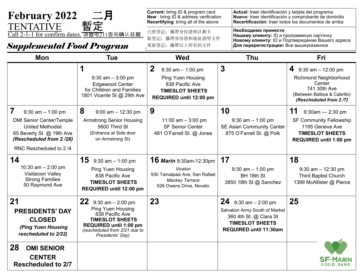| <b>February 2022</b><br><b>TENTATIVE</b>                                                                                                                                  | 暫定                                                                                                                                                                                    | <b>Current:</b> bring ID & program card<br><b>New</b> : bring ID & address verification<br>Recertifying: bring all of the above         | Actual: traer identificación y tarjeta del programa                                                                                               | Nuevo: traer identificación y comprobante de domicilio<br>Recertificación: traer todos los documentos de arriba                               |
|---------------------------------------------------------------------------------------------------------------------------------------------------------------------------|---------------------------------------------------------------------------------------------------------------------------------------------------------------------------------------|-----------------------------------------------------------------------------------------------------------------------------------------|---------------------------------------------------------------------------------------------------------------------------------------------------|-----------------------------------------------------------------------------------------------------------------------------------------------|
| Call 2-1-1 for confirm dates. 请致电211查询确认日期.<br><b>Supplemental Food Program</b>                                                                                           |                                                                                                                                                                                       | 已經登記: 攜帶身份證和計劃卡<br>新登記: 攜帶身份證和地址證明文件<br>重新登記: 攜帶以上所有的文件                                                                                 | Необходимо принести<br>Нашему клиенту: ID и программную карточку<br>Для перерегистрации: Все вышеуказанное                                        | Новому клиенту: ID и Подтверждение Вашего адреса                                                                                              |
| Mon                                                                                                                                                                       | <b>Tue</b>                                                                                                                                                                            | <b>Wed</b>                                                                                                                              | <b>Thu</b>                                                                                                                                        | <b>Fri</b>                                                                                                                                    |
|                                                                                                                                                                           | $9:30$ am $-3:00$ pm<br><b>Edgewood Center</b><br>for Children and Families<br>1801 Vicente St @ 29th Ave                                                                             | $\mathbf 2$<br>$9:30$ am $-1:00$ pm<br><b>Ping Yuen Housing</b><br>838 Pacific Ave<br><b>TIMESLOT SHEETS</b><br>REQUIRED until 12:00 pm | $\boldsymbol{3}$                                                                                                                                  | 4<br>$9:30$ am $-12:00$ pm<br><b>Richmond Neighborhood</b><br>Center<br>741 30th Ave<br>(Between Balboa & Cabrillo)<br>(Rescheduled from 2/7) |
| 7<br>$9:30$ am $-1:00$ pm<br><b>OMI Senior Center/Temple</b><br><b>United Methodist</b><br>65 Beverly St. @ 19th Ave<br>(Rescheduled from 2/28)<br>RNC Rescheduled to 2/4 | 8<br>$9:00$ am $-12:30$ pm<br><b>Armstrong Senior Housing</b><br>5600 Third St<br>(Entrance at Side door<br>on Armstrong St)                                                          | 9<br>11:00 am $-$ 3:00 pm<br><b>SF Senior Center</b><br>481 O'Farrell St. @ Jones                                                       | 10<br>$9:30$ am $-1:00$ pm<br><b>SE Asian Community Center</b><br>875 O'Farrell St. @ Polk                                                        | 11<br>$9:30$ am - 2:30 pm<br><b>SF Community Fellowship</b><br>1195 Geneva Ave<br><b>TIMESLOT SHEETS</b><br>REQUIRED until 1:00 pm            |
| 14<br>10:30 am $-$ 2:00 pm<br><b>Visitacion Valley</b><br><b>Strong Families</b><br>50 Raymond Ave                                                                        | <b>15</b> 9:30 am $-$ 1:00 pm<br><b>Ping Yuen Housing</b><br>838 Pacific Ave<br><b>TIMESLOT SHEETS</b><br>REQUIRED until 12:00 pm                                                     | <b>16 Marin</b> 9:30am-12:30pm<br>Vivalon<br>930 Tamalpais Ave, San Rafael<br><b>Mackey Terrace</b><br>626 Owens Drive, Novato          | 17<br>$9:30$ am $-1:00$ pm<br>BH 18th St<br>3850 18th St @ Sanchez                                                                                | 18<br>$9:30$ am $-12:30$ pm<br><b>Third Baptist Church</b><br>1399 McAllister @ Pierce                                                        |
| 21<br><b>PRESIDENTS' DAY</b><br><b>CLOSED</b><br>(Ping Yuen Housing<br>rescheduled to 2/22)                                                                               | <b>22</b> 9:30 am $-$ 2:00 pm<br><b>Ping Yuen Housing</b><br>838 Pacific Ave<br><b>TIMESLOT SHEETS</b><br>REQUIRED until 1:00 pm<br>(rescheduled from 2/21 due to<br>Presidents' Day) | 23                                                                                                                                      | 24<br>$9:30$ am $-2:00$ pm<br>Salvation Army South of Market<br>360 4th St. @ Clara St<br><b>TIMESLOT SHEETS</b><br><b>REQUIRED until 11:30am</b> | 25                                                                                                                                            |
| 28<br><b>OMI SENIOR</b><br><b>CENTER</b><br><b>Rescheduled to 2/7</b>                                                                                                     |                                                                                                                                                                                       |                                                                                                                                         |                                                                                                                                                   | <b>SF-MARIN</b><br><b>FOOD BANK</b>                                                                                                           |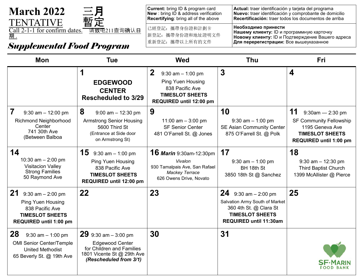| <b>March 2022</b><br>暫定<br><b>TENTATIVE</b> |  |
|---------------------------------------------|--|
| Call 2-1-1 for confirm dates. 请致电211查询确认日   |  |

**Current:** bring ID & program card **New** : bring ID & address verification **Recertifying**: bring all of the above **Actual:** traer identificación y tarjeta del programa **Nuevo:** traer identificación y comprobante de domicilio **Recertificación:** traer todos los documentos de arriba 已經登記:攜帶身份證和計劃卡 新登記:攜帶身份證和地址證明文件 重新登記:攜帶以上所有的文件 **Необходимо принести Нашему клиенту:** ID и программную карточку **Новому клиенту:** ID и Подтверждение Вашего адреса **Для перерегистрации:** Все вышеуказанное

| <b>Mon</b>                                                                                                                              | <b>Tue</b>                                                                                                                             | <b>Wed</b>                                                                                                                               | <b>Thu</b>                                                                                                                                           | <b>Fri</b>                                                                                                                      |
|-----------------------------------------------------------------------------------------------------------------------------------------|----------------------------------------------------------------------------------------------------------------------------------------|------------------------------------------------------------------------------------------------------------------------------------------|------------------------------------------------------------------------------------------------------------------------------------------------------|---------------------------------------------------------------------------------------------------------------------------------|
|                                                                                                                                         | 1<br><b>EDGEWOOD</b><br><b>CENTER</b><br><b>Rescheduled to 3/29</b>                                                                    | $\mathbf{2}$<br>$9:30$ am $-1:00$ pm<br><b>Ping Yuen Housing</b><br>838 Pacific Ave<br><b>TIMESLOT SHEETS</b><br>REQUIRED until 12:00 pm | $\boldsymbol{3}$                                                                                                                                     | 4                                                                                                                               |
| 7<br>$9:30$ am $-12:00$ pm<br><b>Richmond Neighborhood</b><br>Center<br>741 30th Ave<br>(Between Balboa                                 | 8<br>$9:00$ am $-12:30$ pm<br><b>Armstrong Senior Housing</b><br>5600 Third St<br>(Entrance at Side door<br>on Armstrong St)           | 9<br>11:00 am $-$ 3:00 pm<br><b>SF Senior Center</b><br>481 O'Farrell St. @ Jones                                                        | 10<br>$9:30$ am $-1:00$ pm<br><b>SE Asian Community Center</b><br>875 O'Farrell St. @ Polk                                                           | 11<br>9:30am - 2:30 pm<br><b>SF Community Fellowship</b><br>1195 Geneva Ave<br><b>TIMESLOT SHEETS</b><br>REQUIRED until 1:00 pm |
| 14<br>10:30 am $-$ 2:00 pm<br><b>Visitacion Valley</b><br><b>Strong Families</b><br>50 Raymond Ave                                      | <b>15</b> 9:30 am $-$ 1:00 pm<br><b>Ping Yuen Housing</b><br>838 Pacific Ave<br><b>TIMESLOT SHEETS</b><br>REQUIRED until 12:00 pm      | <b>16 Marin</b> 9:30am-12:30pm<br>Vivalon<br>930 Tamalpais Ave, San Rafael<br><b>Mackey Terrace</b><br>626 Owens Drive, Novato           | 17<br>$9:30$ am $-1:00$ pm<br>BH 18th St<br>3850 18th St @ Sanchez                                                                                   | 18<br>$9:30$ am $-12:30$ pm<br><b>Third Baptist Church</b><br>1399 McAllister @ Pierce                                          |
| <b>21</b> 9:30 am $-$ 2:00 pm<br><b>Ping Yuen Housing</b><br>838 Pacific Ave<br><b>TIMESLOT SHEETS</b><br><b>REQUIRED until 1:00 pm</b> | 22                                                                                                                                     | 23                                                                                                                                       | <b>24</b> 9:30 am $-$ 2:00 pm<br>Salvation Army South of Market<br>360 4th St. @ Clara St<br><b>TIMESLOT SHEETS</b><br><b>REQUIRED until 11:30am</b> | 25                                                                                                                              |
| 28<br>$9:30$ am $-1:00$ pm<br><b>OMI Senior Center/Temple</b><br><b>United Methodist</b><br>65 Beverly St. @ 19th Ave                   | 29 $9:30$ am $-3:00$ pm<br><b>Edgewood Center</b><br>for Children and Families<br>1801 Vicente St @ 29th Ave<br>(Rescheduled from 3/1) | 30                                                                                                                                       | 31                                                                                                                                                   | FOOD BANK                                                                                                                       |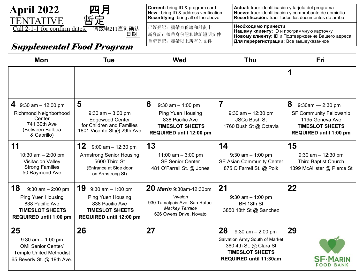

| <b>Current:</b> bring ID & program card<br>New : bring ID & address verification<br>Recertifying: bring all of the above | Actual: traer identificación y tarjeta del programa<br>Nuevo: traer identificación y comprobante de domicilio<br>Recertificación: traer todos los documentos de arriba       |
|--------------------------------------------------------------------------------------------------------------------------|------------------------------------------------------------------------------------------------------------------------------------------------------------------------------|
| 已經登記: 攜帶身份證和計劃卡<br>新登記: 攜帶身份證和地址證明文件<br>重新登記: 攜帶以上所有的文件                                                                  | Необходимо принести<br><b>Нашему клиенту: ID и программную карточку</b><br><b>Новому клиенту: ID и Подтверждение Вашего адреса</b><br>Для перерегистрации: Все вышеуказанное |

| <b>Mon</b>                                                                                                              | <b>Tue</b>                                                                                                                        | <b>Wed</b>                                                                                                                     | <b>Thu</b>                                                                                                                                         | <b>Fri</b>                                                                                                   |
|-------------------------------------------------------------------------------------------------------------------------|-----------------------------------------------------------------------------------------------------------------------------------|--------------------------------------------------------------------------------------------------------------------------------|----------------------------------------------------------------------------------------------------------------------------------------------------|--------------------------------------------------------------------------------------------------------------|
|                                                                                                                         |                                                                                                                                   |                                                                                                                                |                                                                                                                                                    | 1                                                                                                            |
| 4 $9:30$ am $-12:00$ pm                                                                                                 | 5                                                                                                                                 | 6<br>$9:30$ am $-1:00$ pm                                                                                                      | $\overline{7}$                                                                                                                                     | 8<br>$9:30$ am - 2:30 pm                                                                                     |
| <b>Richmond Neighborhood</b><br>Center<br>741 30th Ave<br>(Between Balboa<br>& Cabrillo)                                | $9:30$ am $-3:00$ pm<br><b>Edgewood Center</b><br>for Children and Families<br>1801 Vicente St @ 29th Ave                         | <b>Ping Yuen Housing</b><br>838 Pacific Ave<br><b>TIMESLOT SHEETS</b><br>REQUIRED until 12:00 pm                               | $9:30$ am $-12:30$ pm<br><b>JSCo Bush St</b><br>1760 Bush St @ Octavia                                                                             | <b>SF Community Fellowship</b><br>1195 Geneva Ave<br><b>TIMESLOT SHEETS</b><br><b>REQUIRED until 1:00 pm</b> |
| 11                                                                                                                      | 12<br>$9:00$ am $-12:30$ pm                                                                                                       | 13                                                                                                                             | 14                                                                                                                                                 | 15                                                                                                           |
| 10:30 am $-$ 2:00 pm<br><b>Visitacion Valley</b><br><b>Strong Families</b><br>50 Raymond Ave                            | <b>Armstrong Senior Housing</b><br>5600 Third St<br>(Entrance at Side door<br>on Armstrong St)                                    | 11:00 am $-$ 3:00 pm<br><b>SF Senior Center</b><br>481 O'Farrell St. @ Jones                                                   | $9:30$ am $-1:00$ pm<br><b>SE Asian Community Center</b><br>875 O'Farrell St. @ Polk                                                               | $9:30$ am $-12:30$ pm<br><b>Third Baptist Church</b><br>1399 McAllister @ Pierce St                          |
| 18<br>$9:30$ am $- 2:00$ pm<br>Ping Yuen Housing<br>838 Pacific Ave<br><b>TIMESLOT SHEETS</b><br>REQUIRED until 1:00 pm | <b>19</b> 9:30 am $-$ 1:00 pm<br><b>Ping Yuen Housing</b><br>838 Pacific Ave<br><b>TIMESLOT SHEETS</b><br>REQUIRED until 12:00 pm | <b>20 Marin</b> 9:30am-12:30pm<br>Vivalon<br>930 Tamalpais Ave, San Rafael<br><b>Mackey Terrace</b><br>626 Owens Drive, Novato | 21<br>$9:30$ am $-1:00$ pm<br>BH 18th St<br>3850 18th St @ Sanchez                                                                                 | 22                                                                                                           |
| 25<br>$9:30$ am $-1:00$ pm<br><b>OMI Senior Center/</b><br><b>Temple United Methodist</b><br>65 Beverly St. @ 19th Ave. | 26                                                                                                                                | 27                                                                                                                             | 28<br>$9:30$ am $- 2:00$ pm<br>Salvation Army South of Market<br>360 4th St. @ Clara St<br><b>TIMESLOT SHEETS</b><br><b>REQUIRED until 11:30am</b> | 29<br><b>FOOD BANK</b>                                                                                       |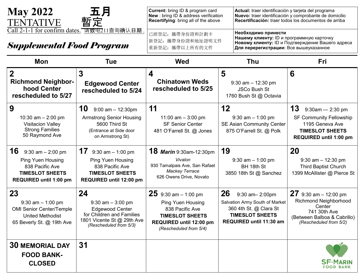

**Current:** bring ID & program card **New** : bring ID & address verification **Recertifying**: bring all of the above

已經登記:攜帶身份證和計劃卡 新登記:攜帶身份證和地址證明文件 重新登記:攜帶以上所有的文件

**Actual:** traer identificación y tarjeta del programa **Nuevo:** traer identificación y comprobante de domicilio **Recertificación:** traer todos los documentos de arriba

#### *Supplemental Food Program*

**Необходимо принести Нашему клиенту:** ID и программную карточку **Новому клиенту:** ID и Подтверждение Вашего адреса **Для перерегистрации:** Все вышеуказанное

| <b>Mon</b>                                                                                                                    | <b>Tue</b>                                                                                                                                | <b>Wed</b>                                                                                                                                            | <b>Thu</b>                                                                                                                            | Fri                                                                                                                                        |
|-------------------------------------------------------------------------------------------------------------------------------|-------------------------------------------------------------------------------------------------------------------------------------------|-------------------------------------------------------------------------------------------------------------------------------------------------------|---------------------------------------------------------------------------------------------------------------------------------------|--------------------------------------------------------------------------------------------------------------------------------------------|
| $\overline{2}$<br><b>Richmond Neighbor-</b><br>hood Center<br>rescheduled to 5/27                                             | 3<br><b>Edgewood Center</b><br>rescheduled to 5/24                                                                                        | $\boldsymbol{4}$<br><b>Chinatown Weds</b><br>rescheduled to 5/25                                                                                      | 5<br>$9:30$ am $-12:30$ pm<br><b>JSCo Bush St</b><br>1760 Bush St @ Octavia                                                           | 6                                                                                                                                          |
| 9<br>10:30 am $- 2:00$ pm<br><b>Visitacion Valley</b><br><b>Strong Families</b><br>50 Raymond Ave                             | 10<br>$9:00$ am $-12:30$ pm<br><b>Armstrong Senior Housing</b><br>5600 Third St<br>(Entrance at Side door<br>on Armstrong St)             | 11<br>11:00 am $-$ 3:00 pm<br><b>SF Senior Center</b><br>481 O'Farrell St. @ Jones                                                                    | 12<br>$9:30$ am $-1:00$ pm<br><b>SE Asian Community Center</b><br>875 O'Farrell St. @ Polk                                            | 13<br>$9:30$ am - 2:30 pm<br><b>SF Community Fellowship</b><br>1195 Geneva Ave<br><b>TIMESLOT SHEETS</b><br><b>REQUIRED until 1:00 pm</b>  |
| 16<br>$9:30$ am $-2:00$ pm<br><b>Ping Yuen Housing</b><br>838 Pacific Ave<br><b>TIMESLOT SHEETS</b><br>REQUIRED until 1:00 pm | <b>17</b> 9:30 am $-$ 1:00 pm<br><b>Ping Yuen Housing</b><br>838 Pacific Ave<br><b>TIMESLOT SHEETS</b><br>REQUIRED until 12:00 pm         | <b>18 Marin</b> 9:30am-12:30pm<br>Vivalon<br>930 Tamalpais Ave, San Rafael<br><b>Mackey Terrace</b><br>626 Owens Drive, Novato                        | 19<br>$9:30$ am $-1:00$ pm<br>BH 18th St<br>3850 18th St @ Sanchez                                                                    | <b>20</b><br>$9:30$ am $-12:30$ pm<br><b>Third Baptist Church</b><br>1399 McAllister @ Pierce St                                           |
| 23<br>$9:30$ am $-1:00$ pm<br><b>OMI Senior Center/Temple</b><br><b>United Methodist</b><br>65 Beverly St. @ 19th Ave         | 24<br>$9:30$ am $-3:00$ pm<br><b>Edgewood Center</b><br>for Children and Families<br>1801 Vicente St @ 29th Ave<br>(Rescheduled from 5/3) | 25 $9:30$ am $-1:00$ pm<br><b>Ping Yuen Housing</b><br>838 Pacific Ave<br><b>TIMESLOT SHEETS</b><br>REQUIRED until 12:00 pm<br>(Rescheduled from 5/4) | 26<br>9:30 am-2:00pm<br>Salvation Army South of Market<br>360 4th St. @ Clara St<br><b>TIMESLOT SHEETS</b><br>REQUIRED until 11:30 am | 27 $9:30$ am - 12:00 pm<br><b>Richmond Neighborhood</b><br>Center<br>741 30th Ave<br>(Between Balboa & Cabrillo)<br>(Rescheduled from 5/2) |
| <b>30 MEMORIAL DAY</b><br><b>FOOD BANK-</b><br><b>CLOSED</b>                                                                  | 31                                                                                                                                        |                                                                                                                                                       |                                                                                                                                       | FOOD BANK                                                                                                                                  |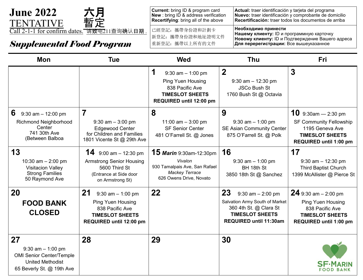

**Current:** bring ID & program card **New** : bring ID & address verification **Recertifying**: bring all of the above **Actual:** traer identificación y tarjeta del programa **Nuevo:** traer identificación y comprobante de domicilio **Recertificación:** traer todos los documentos de arriba 已經登記:攜帶身份證和計劃卡 新登記: 攜帶身份證和地址證明文件 **Необходимо принести Нашему клиенту:** ID и программную карточку

**Новому клиенту:** ID и Подтверждение Вашего адреса **Для перерегистрации:** Все вышеуказанное

| <b>Mon</b>                                                                                                            | Tue                                                                                                                            | <b>Wed</b>                                                                                                                     | <b>Thu</b>                                                                                                                                         | Fri                                                                                                                              |
|-----------------------------------------------------------------------------------------------------------------------|--------------------------------------------------------------------------------------------------------------------------------|--------------------------------------------------------------------------------------------------------------------------------|----------------------------------------------------------------------------------------------------------------------------------------------------|----------------------------------------------------------------------------------------------------------------------------------|
|                                                                                                                       |                                                                                                                                | 1<br>$9:30$ am $-1:00$ pm<br><b>Ping Yuen Housing</b><br>838 Pacific Ave<br><b>TIMESLOT SHEETS</b><br>REQUIRED until 12:00 pm  | $\overline{2}$<br>$9:30$ am $-12:30$ pm<br><b>JSCo Bush St</b><br>1760 Bush St @ Octavia                                                           | 3                                                                                                                                |
| 6<br>$9:30$ am $-12:00$ pm<br><b>Richmond Neighborhood</b><br>Center<br>741 30th Ave<br>(Between Balboa               | 7<br>$9:30$ am $-3:00$ pm<br><b>Edgewood Center</b><br>for Children and Families<br>1801 Vicente St @ 29th Ave                 | 8<br>11:00 am $-$ 3:00 pm<br><b>SF Senior Center</b><br>481 O'Farrell St. @ Jones                                              | 9<br>$9:30$ am $-1:00$ pm<br><b>SE Asian Community Center</b><br>875 O'Farrell St. @ Polk                                                          | $10$ 9:30am - 2:30 pm<br><b>SF Community Fellowship</b><br>1195 Geneva Ave<br><b>TIMESLOT SHEETS</b><br>REQUIRED until 1:00 pm   |
| 13<br>10:30 am $- 2:00$ pm<br><b>Visitacion Valley</b><br><b>Strong Families</b><br>50 Raymond Ave                    | <b>14</b> 9:00 am - 12:30 pm<br><b>Armstrong Senior Housing</b><br>5600 Third St<br>(Entrance at Side door<br>on Armstrong St) | <b>15 Marin</b> 9:30am-12:30pm<br>Vivalon<br>930 Tamalpais Ave, San Rafael<br><b>Mackey Terrace</b><br>626 Owens Drive, Novato | 16<br>$9:30$ am $-1:00$ pm<br>BH 18th St<br>3850 18th St @ Sanchez                                                                                 | 17<br>$9:30$ am $-12:30$ pm<br><b>Third Baptist Church</b><br>1399 McAllister @ Pierce St                                        |
| 20<br><b>FOOD BANK</b><br><b>CLOSED</b>                                                                               | 21<br>$9:30$ am $-1:00$ pm<br><b>Ping Yuen Housing</b><br>838 Pacific Ave<br><b>TIMESLOT SHEETS</b><br>REQUIRED until 12:00 pm | 22                                                                                                                             | 23<br>$9:30$ am $- 2:00$ pm<br>Salvation Army South of Market<br>360 4th St. @ Clara St<br><b>TIMESLOT SHEETS</b><br><b>REQUIRED until 11:30am</b> | 24 9:30 am $-$ 2:00 pm<br><b>Ping Yuen Housing</b><br>838 Pacific Ave<br><b>TIMESLOT SHEETS</b><br><b>REQUIRED until 1:00 pm</b> |
| 27<br>$9:30$ am $-1:00$ pm<br><b>OMI Senior Center/Temple</b><br><b>United Methodist</b><br>65 Beverly St. @ 19th Ave | 28                                                                                                                             | 29                                                                                                                             | 30                                                                                                                                                 | FOO                                                                                                                              |

重新登記:攜帶以上所有的文件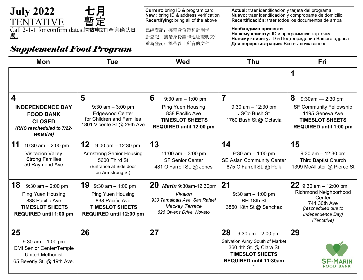

**Current:** bring ID & program card **New** : bring ID & address verification **Recertifying**: bring all of the above **Actual:** traer identificación y tarjeta del programa **Nuevo:** traer identificación y comprobante de domicilio **Recertificación:** traer todos los documentos de arriba 已經登記:攜帶身份證和計劃卡 新登記:攜帶身份證和地址證明文件 **Необходимо принести**

*Supplemental Food Program*

**Нашему клиенту:** ID и программную карточку **Новому клиенту:** ID и Подтверждение Вашего адреса **Для перерегистрации:** Все вышеуказанное

| <b>Mon</b>                                                                                                                           | <b>Tue</b>                                                                                                                     | <b>Wed</b>                                                                                                                    | <b>Thu</b>                                                                                                                                  | <b>Fri</b>                                                                                                                                    |
|--------------------------------------------------------------------------------------------------------------------------------------|--------------------------------------------------------------------------------------------------------------------------------|-------------------------------------------------------------------------------------------------------------------------------|---------------------------------------------------------------------------------------------------------------------------------------------|-----------------------------------------------------------------------------------------------------------------------------------------------|
|                                                                                                                                      |                                                                                                                                |                                                                                                                               |                                                                                                                                             | 1                                                                                                                                             |
| 4<br><b>INDEPENDENCE DAY</b><br><b>FOOD BANK</b><br><b>CLOSED</b><br>(RNC rescheduled to 7/22-<br>tentative)                         | 5<br>$9:30$ am $-3:00$ pm<br><b>Edgewood Center</b><br>for Children and Families<br>1801 Vicente St @ 29th Ave                 | 6<br>$9:30$ am $-1:00$ pm<br><b>Ping Yuen Housing</b><br>838 Pacific Ave<br><b>TIMESLOT SHEETS</b><br>REQUIRED until 12:00 pm | 7<br>$9:30$ am $-12:30$ pm<br><b>JSCo Bush St</b><br>1760 Bush St @ Octavia                                                                 | 8<br>9:30am - 2:30 pm<br><b>SF Community Fellowship</b><br>1195 Geneva Ave<br><b>TIMESLOT SHEETS</b><br><b>REQUIRED until 1:00 pm</b>         |
| 11<br>10:30 am $-$ 2:00 pm<br><b>Visitacion Valley</b><br><b>Strong Families</b><br>50 Raymond Ave                                   | 12<br>$9:00$ am $-12:30$ pm<br><b>Armstrong Senior Housing</b><br>5600 Third St<br>(Entrance at Side door<br>on Armstrong St)  | 13<br>11:00 am $-$ 3:00 pm<br><b>SF Senior Center</b><br>481 O'Farrell St. @ Jones                                            | 14<br>$9:30$ am $-1:00$ pm<br><b>SE Asian Community Center</b><br>875 O'Farrell St. @ Polk                                                  | 15<br>$9:30$ am $-12:30$ pm<br><b>Third Baptist Church</b><br>1399 McAllister @ Pierce St                                                     |
| 18<br>$9:30$ am $-2:00$ pm<br><b>Ping Yuen Housing</b><br>838 Pacific Ave<br><b>TIMESLOT SHEETS</b><br><b>REQUIRED until 1:00 pm</b> | 19<br>$9:30$ am $-1:00$ pm<br><b>Ping Yuen Housing</b><br>838 Pacific Ave<br><b>TIMESLOT SHEETS</b><br>REQUIRED until 12:00 pm | 20<br>Marin 9:30am-12:30pm<br>Vivalon<br>930 Tamalpais Ave, San Rafael<br><b>Mackey Terrace</b><br>626 Owens Drive, Novato    | 21<br>$9:30$ am $-1:00$ pm<br>BH 18th St<br>3850 18th St @ Sanchez                                                                          | 22 $9:30$ am $-12:00$ pm<br><b>Richmond Neighborhood</b><br>Center<br>741 30th Ave<br>(rescheduled due to<br>Independence Day)<br>(Tentative) |
| 25<br>$9:30$ am $-1:00$ pm<br><b>OMI Senior Center/Temple</b><br><b>United Methodist</b><br>65 Beverly St. @ 19th Ave.               | 26                                                                                                                             | 27                                                                                                                            | 28<br>$9:30$ am $- 2:00$ pm<br>Salvation Army South of Market<br>360 4th St. @ Clara St<br><b>TIMESLOT SHEETS</b><br>REQUIRED until 11:30am | 29<br>FOOD BANK                                                                                                                               |

重新登記:攜帶以上所有的文件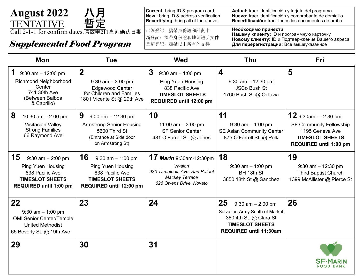*Supplemental Food Program* **Current:** bring ID & program card **New** : bring ID & address verification **Recertifying**: bring all of the above **Actual:** traer identificación y tarjeta del programa **Nuevo:** traer identificación y comprobante de domicilio **Recertificación:** traer todos los documentos de arriba 已經登記:攜帶身份證和計劃卡 新登記: 攜帶身份證和地址證明文件 重新登記:攜帶以上所有的文件 **Необходимо принести Нашему клиенту:** ID и программную карточку **Новому клиенту:** ID и Подтверждение Вашего адреса **Для перерегистрации:** Все вышеуказанное August 2022 八月<br>TENTATIVE 暫定 **TENTATIVE** 2-1-1 for confirm dates.请致电2T1查询确认日期

| <b>Mon</b>                                                                                                                            | <b>Tue</b>                                                                                                                     | <b>Wed</b>                                                                                                                               | <b>Thu</b>                                                                                                                                  | <b>Fri</b>                                                                                                                     |
|---------------------------------------------------------------------------------------------------------------------------------------|--------------------------------------------------------------------------------------------------------------------------------|------------------------------------------------------------------------------------------------------------------------------------------|---------------------------------------------------------------------------------------------------------------------------------------------|--------------------------------------------------------------------------------------------------------------------------------|
| $9:30$ am $-12:00$ pm<br><b>Richmond Neighborhood</b><br>Center<br>741 30th Ave<br>(Between Balboa<br>& Cabrillo)                     | $\overline{2}$<br>$9:30$ am $-3:00$ pm<br><b>Edgewood Center</b><br>for Children and Families<br>1801 Vicente St @ 29th Ave    | $\mathbf{3}$<br>$9:30$ am $-1:00$ pm<br><b>Ping Yuen Housing</b><br>838 Pacific Ave<br><b>TIMESLOT SHEETS</b><br>REQUIRED until 12:00 pm | $\overline{\mathbf{4}}$<br>$9:30$ am $-12:30$ pm<br><b>JSCo Bush St</b><br>1760 Bush St @ Octavia                                           | 5                                                                                                                              |
| 8<br>10:30 am $-$ 2:00 pm<br><b>Visitacion Valley</b><br><b>Strong Families</b><br>66 Raymond Ave                                     | 9<br>$9:00$ am $-12:30$ pm<br><b>Armstrong Senior Housing</b><br>5600 Third St<br>(Entrance at Side door<br>on Armstrong St)   | 10<br>11:00 am $-$ 3:00 pm<br><b>SF Senior Center</b><br>481 O'Farrell St. @ Jones                                                       | 11<br>$9:30$ am $-1:00$ pm<br><b>SE Asian Community Center</b><br>875 O'Farrell St. @ Polk                                                  | $12$ 9:30am - 2:30 pm<br><b>SF Community Fellowship</b><br>1195 Geneva Ave<br><b>TIMESLOT SHEETS</b><br>REQUIRED until 1:00 pm |
| 15<br>$9:30$ am $- 2:00$ pm<br><b>Ping Yuen Housing</b><br>838 Pacific Ave<br><b>TIMESLOT SHEETS</b><br><b>REQUIRED until 1:00 pm</b> | 16<br>$9:30$ am $-1:00$ pm<br><b>Ping Yuen Housing</b><br>838 Pacific Ave<br><b>TIMESLOT SHEETS</b><br>REQUIRED until 12:00 pm | <b>17 Marin</b> 9:30am-12:30pm<br>Vivalon<br>930 Tamalpais Ave, San Rafael<br><b>Mackey Terrace</b><br>626 Owens Drive, Novato           | 18<br>$9:30$ am $-1:00$ pm<br>BH 18th St<br>3850 18th St @ Sanchez                                                                          | 19<br>$9:30$ am $-12:30$ pm<br><b>Third Baptist Church</b><br>1399 McAllister @ Pierce St                                      |
| $22 \overline{)}$<br>$9:30$ am $-1:00$ pm<br><b>OMI Senior Center/Temple</b><br><b>United Methodist</b><br>65 Beverly St. @ 19th Ave  | 23                                                                                                                             | 24                                                                                                                                       | 25<br>$9:30$ am $- 2:00$ pm<br>Salvation Army South of Market<br>360 4th St. @ Clara St<br><b>TIMESLOT SHEETS</b><br>REQUIRED until 11:30am | 26                                                                                                                             |
| 29                                                                                                                                    | 30                                                                                                                             | 31                                                                                                                                       |                                                                                                                                             |                                                                                                                                |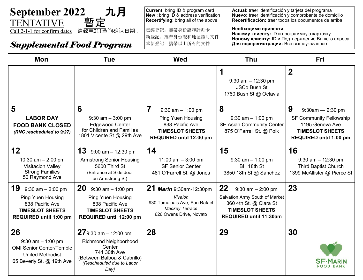

**Current:** bring ID & program card **New** : bring ID & address verification **Recertifying**: bring all of the above **Actual:** traer identificación y tarjeta del programa **Nuevo:** traer identificación y comprobante de domicilio **Recertificación:** traer todos los documentos de arriba 已經登記:攜帶身份證和計劃卡 新登記:攜帶身份證和地址證明文件 重新登記:攜帶以上所有的文件 **Необходимо принести Нашему клиенту:** ID и программную карточку **Новому клиенту:** ID и Подтверждение Вашего адреса

| <b>Mon</b>                                                                                                                       | <b>Tue</b>                                                                                                                                     | <b>Wed</b>                                                                                                                     | <b>Thu</b>                                                                                                                                         | <b>Fri</b>                                                                                                                               |
|----------------------------------------------------------------------------------------------------------------------------------|------------------------------------------------------------------------------------------------------------------------------------------------|--------------------------------------------------------------------------------------------------------------------------------|----------------------------------------------------------------------------------------------------------------------------------------------------|------------------------------------------------------------------------------------------------------------------------------------------|
|                                                                                                                                  |                                                                                                                                                |                                                                                                                                | 1<br>$9:30$ am $-12:30$ pm<br><b>JSCo Bush St</b><br>1760 Bush St @ Octavia                                                                        | $\overline{2}$                                                                                                                           |
| 5<br><b>LABOR DAY</b><br><b>FOOD BANK CLOSED</b><br>(RNC rescheduled to 9/27)                                                    | 6<br>$9:30$ am $-3:00$ pm<br><b>Edgewood Center</b><br>for Children and Families<br>1801 Vicente St @ 29th Ave                                 | 7<br>$9:30$ am $-1:00$ pm<br><b>Ping Yuen Housing</b><br>838 Pacific Ave<br><b>TIMESLOT SHEETS</b><br>REQUIRED until 12:00 pm  | 8<br>$9:30$ am $-1:00$ pm<br><b>SE Asian Community Center</b><br>875 O'Farrell St. @ Polk                                                          | 9<br>$9:30$ am - 2:30 pm<br><b>SF Community Fellowship</b><br>1195 Geneva Ave<br><b>TIMESLOT SHEETS</b><br><b>REQUIRED until 1:00 pm</b> |
| 12<br>10:30 $am - 2:00$ pm<br><b>Visitacion Valley</b><br><b>Strong Families</b><br>50 Raymond Ave                               | <b>13</b> 9:00 am $-$ 12:30 pm<br><b>Armstrong Senior Housing</b><br>5600 Third St<br>(Entrance at Side door<br>on Armstrong St)               | 14<br>11:00 am $-$ 3:00 pm<br><b>SF Senior Center</b><br>481 O'Farrell St. @ Jones                                             | 15<br>$9:30$ am $-1:00$ pm<br>BH 18th St<br>3850 18th St @ Sanchez                                                                                 | 16<br>$9:30$ am $-12:30$ pm<br><b>Third Baptist Church</b><br>1399 McAllister @ Pierce St                                                |
| <b>19</b> 9:30 am $-$ 2:00 pm<br><b>Ping Yuen Housing</b><br>838 Pacific Ave<br><b>TIMESLOT SHEETS</b><br>REQUIRED until 1:00 pm | <b>20</b> 9:30 am $-$ 1:00 pm<br><b>Ping Yuen Housing</b><br>838 Pacific Ave<br><b>TIMESLOT SHEETS</b><br>REQUIRED until 12:00 pm              | <b>21 Marin</b> 9:30am-12:30pm<br>Vivalon<br>930 Tamalpais Ave, San Rafael<br><b>Mackey Terrace</b><br>626 Owens Drive, Novato | 22<br>$9:30$ am $- 2:00$ pm<br>Salvation Army South of Market<br>360 4th St. @ Clara St<br><b>TIMESLOT SHEETS</b><br><b>REQUIRED until 11:30am</b> | 23                                                                                                                                       |
| 26<br>$9:30$ am $-1:00$ pm<br><b>OMI Senior Center/Temple</b><br><b>United Methodist</b><br>65 Beverly St. @ 19th Ave            | $27$ 9:30 am - 12:00 pm<br>Richmond Neighborhood<br>Center<br>741 30th Ave<br>(Between Balboa & Cabrillo)<br>(Rescheduled due to Labor<br>Day) | 28                                                                                                                             | 29                                                                                                                                                 | 30                                                                                                                                       |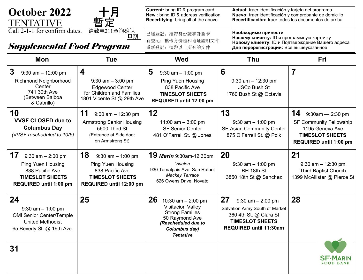| October 2022<br>TENTATIVE<br>Call 2-1-1 for confirm dates.                                                                     | 月<br>暫定<br>请致电211查询确认                                                                                                          | Current: bring ID & program card<br><b>New</b> : bring ID & address verification<br>Recertifying: bring all of the above<br>已經登記: 攜帶身份證和計劃卡                    | Actual: traer identificación y tarjeta del programa<br>Nuevo: traer identificación y comprobante de domicilio<br>Recertificación: traer todos los documentos de arriba<br>Необходимо принести |                                                                                                                                 |
|--------------------------------------------------------------------------------------------------------------------------------|--------------------------------------------------------------------------------------------------------------------------------|----------------------------------------------------------------------------------------------------------------------------------------------------------------|-----------------------------------------------------------------------------------------------------------------------------------------------------------------------------------------------|---------------------------------------------------------------------------------------------------------------------------------|
| 日期 .<br><b>Supplemental Food Program</b>                                                                                       |                                                                                                                                | 新登記: 攜帶身份證和地址證明文件<br>重新登記: 攜帶以上所有的文件                                                                                                                           | Нашему клиенту: ID и программную карточку<br>Новому клиенту: ID и Подтверждение Вашего адреса<br>Для перерегистрации: Все вышеуказанное                                                       |                                                                                                                                 |
| Mon                                                                                                                            | <b>Tue</b>                                                                                                                     | <b>Wed</b>                                                                                                                                                     | <b>Thu</b>                                                                                                                                                                                    | Fri                                                                                                                             |
| 3<br>$9:30$ am $-12:00$ pm<br><b>Richmond Neighborhood</b><br>Center<br>741 30th Ave<br>(Between Balboa<br>& Cabrillo)         | 4<br>$9:30$ am $-3:00$ pm<br><b>Edgewood Center</b><br>for Children and Families<br>1801 Vicente St @ 29th Ave                 | 5<br>$9:30$ am $-1:00$ pm<br><b>Ping Yuen Housing</b><br>838 Pacific Ave<br><b>TIMESLOT SHEETS</b><br>REQUIRED until 12:00 pm                                  | 6<br>$9:30$ am $-12:30$ pm<br><b>JSCo Bush St</b><br>1760 Bush St @ Octavia                                                                                                                   | 7                                                                                                                               |
| 10<br><b>VVSF CLOSED due to</b><br><b>Columbus Day</b><br>(VVSF rescheduled to 10/6)                                           | 11<br>$9:00$ am $-12:30$ pm<br><b>Armstrong Senior Housing</b><br>5600 Third St<br>(Entrance at Side door<br>on Armstrong St)  | 12<br>11:00 am $-$ 3:00 pm<br><b>SF Senior Center</b><br>481 O'Farrell St. @ Jones                                                                             | 13<br>$9:30$ am $-1:00$ pm<br><b>SE Asian Community Center</b><br>875 O'Farrell St. @ Polk                                                                                                    | 14<br>9:30am - 2:30 pm<br><b>SF Community Fellowship</b><br>1195 Geneva Ave<br><b>TIMESLOT SHEETS</b><br>REQUIRED until 1:00 pm |
| 17<br>$9:30$ am $- 2:00$ pm<br><b>Ping Yuen Housing</b><br>838 Pacific Ave<br><b>TIMESLOT SHEETS</b><br>REQUIRED until 1:00 pm | 18<br>$9:30$ am $-1:00$ pm<br><b>Ping Yuen Housing</b><br>838 Pacific Ave<br><b>TIMESLOT SHEETS</b><br>REQUIRED until 12:00 pm | <b>19 Marin</b> 9:30am-12:30pm<br>Vivalon<br>930 Tamalpais Ave, San Rafael<br><b>Mackey Terrace</b><br>626 Owens Drive, Novato                                 | 20<br>$9:30$ am $-1:00$ pm<br>BH 18th St<br>3850 18th St @ Sanchez                                                                                                                            | 21<br>$9:30$ am $-12:30$ pm<br><b>Third Baptist Church</b><br>1399 McAllister @ Pierce St                                       |
| 24<br>$9:30$ am $-1:00$ pm<br><b>OMI Senior Center/Temple</b><br><b>United Methodist</b><br>65 Beverly St. @ 19th Ave.         | 25                                                                                                                             | 26<br>10:30 am $-$ 2:00 pm<br><b>Visitacion Valley</b><br><b>Strong Families</b><br>50 Raymond Ave<br>(Rescheduled due to<br>Columbus day)<br><b>Tentative</b> | 27<br>$9:30$ am $- 2:00$ pm<br>Salvation Army South of Market<br>360 4th St. @ Clara St<br><b>TIMESLOT SHEETS</b><br><b>REQUIRED until 11:30am</b>                                            | 28                                                                                                                              |
| 31                                                                                                                             |                                                                                                                                |                                                                                                                                                                |                                                                                                                                                                                               | <b>SF-MARIN</b><br>FOOD BANK                                                                                                    |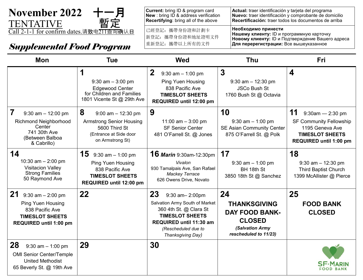

# **Supplemental Food Program**  $\frac{\text{\#}\text{\#}\text{\#}\text{\#}\text{\#}}{\text{\#}\text{\#}\text{\#}\text{\#}\text{\#}\text{\#}}$  **Aля перерегистрации: Все вышеуказанное**

**Current:** bring ID & program card **New** : bring ID & address verification **Recertifying**: bring all of the above **Actual:** traer identificación y tarjeta del programa **Nuevo:** traer identificación y comprobante de domicilio **Recertificación:** traer todos los documentos de arriba 已經登記:攜帶身份證和計劃卡 新登記:攜帶身份證和地址證明文件 重新登記:攜帶以上所有的文件 **Необходимо принести Нашему клиенту:** ID и программную карточку **Новому клиенту:** ID и Подтверждение Вашего адреса

| <b>Mon</b>                                                                                                                        | <b>Tue</b>                                                                                                                     | <b>Wed</b>                                                                                                                                                                        | Thu                                                                                                             | <b>Fri</b>                                                                                                                         |
|-----------------------------------------------------------------------------------------------------------------------------------|--------------------------------------------------------------------------------------------------------------------------------|-----------------------------------------------------------------------------------------------------------------------------------------------------------------------------------|-----------------------------------------------------------------------------------------------------------------|------------------------------------------------------------------------------------------------------------------------------------|
|                                                                                                                                   | 1<br>$9:30$ am $-3:00$ pm<br><b>Edgewood Center</b><br>for Children and Families<br>1801 Vicente St @ 29th Ave                 | $\mathbf{2}$<br>$9:30$ am $-1:00$ pm<br><b>Ping Yuen Housing</b><br>838 Pacific Ave<br><b>TIMESLOT SHEETS</b><br>REQUIRED until 12:00 pm                                          | $\mathbf{3}$<br>$9:30$ am $-12:30$ pm<br><b>JSCo Bush St</b><br>1760 Bush St @ Octavia                          | 4                                                                                                                                  |
| 7<br>$9:30$ am $-12:00$ pm<br><b>Richmond Neighborhood</b><br>Center<br>741 30th Ave<br>(Between Balboa<br>& Cabrillo)            | 8<br>$9:00$ am $-12:30$ pm<br><b>Armstrong Senior Housing</b><br>5600 Third St<br>(Entrance at Side door<br>on Armstrong St)   | 9<br>11:00 am $-$ 3:00 pm<br><b>SF Senior Center</b><br>481 O'Farrell St. @ Jones                                                                                                 | 10<br>$9:30$ am $-1:00$ pm<br><b>SE Asian Community Center</b><br>875 O'Farrell St. @ Polk                      | 11<br>$9:30$ am - 2:30 pm<br><b>SF Community Fellowship</b><br>1195 Geneva Ave<br><b>TIMESLOT SHEETS</b><br>REQUIRED until 1:00 pm |
| 14<br>10:30 am $- 2:00$ pm<br><b>Visitacion Valley</b><br><b>Strong Families</b><br>50 Raymond Ave                                | 15<br>$9:30$ am $-1:00$ pm<br><b>Ping Yuen Housing</b><br>838 Pacific Ave<br><b>TIMESLOT SHEETS</b><br>REQUIRED until 12:00 pm | <b>16 Marin</b> 9:30am-12:30pm<br>Vivalon<br>930 Tamalpais Ave, San Rafael<br><b>Mackey Terrace</b><br>626 Owens Drive, Novato                                                    | 17<br>$9:30$ am $-1:00$ pm<br>BH 18th St<br>3850 18th St @ Sanchez                                              | 18<br>$9:30$ am $-12:30$ pm<br><b>Third Baptist Church</b><br>1399 McAllister @ Pierce                                             |
| 21 $9:30$ am $-2:00$ pm<br><b>Ping Yuen Housing</b><br>838 Pacific Ave<br><b>TIMESLOT SHEETS</b><br><b>REQUIRED until 1:00 pm</b> | 22                                                                                                                             | 23<br>9:30 am-2:00pm<br>Salvation Army South of Market<br>360 4th St. @ Clara St<br><b>TIMESLOT SHEETS</b><br>REQUIRED until 11:30 am<br>(Rescheduled due to<br>Thanksgiving Day) | 24<br><b>THANKSGIVING</b><br><b>DAY FOOD BANK-</b><br><b>CLOSED</b><br>(Salvation Army<br>rescheduled to 11/23) | 25<br><b>FOOD BANK</b><br><b>CLOSED</b>                                                                                            |
| 28<br>$9:30$ am $-1:00$ pm<br><b>OMI Senior Center/Temple</b><br><b>United Methodist</b><br>65 Beverly St. @ 19th Ave             | 29                                                                                                                             | 30                                                                                                                                                                                |                                                                                                                 | FOOD BANK                                                                                                                          |